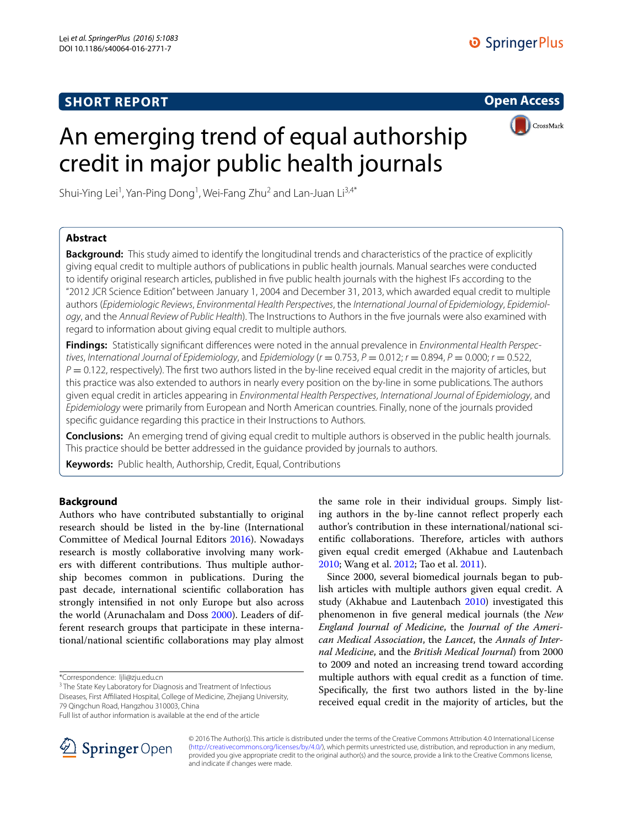# **SHORT REPORT**

**Open Access**



# An emerging trend of equal authorship credit in major public health journals

Shui-Ying Lei<sup>1</sup>, Yan-Ping Dong<sup>1</sup>, Wei-Fang Zhu<sup>2</sup> and Lan-Juan Li<sup>3,4\*</sup>

# **Abstract**

**Background:** This study aimed to identify the longitudinal trends and characteristics of the practice of explicitly giving equal credit to multiple authors of publications in public health journals. Manual searches were conducted to identify original research articles, published in five public health journals with the highest IFs according to the "2012 JCR Science Edition" between January 1, 2004 and December 31, 2013, which awarded equal credit to multiple authors (*Epidemiologic Reviews*, *Environmental Health Perspectives*, the *International Journal of Epidemiology*, *Epidemiology*, and the *Annual Review of Public Health*). The Instructions to Authors in the five journals were also examined with regard to information about giving equal credit to multiple authors.

**Findings:** Statistically significant differences were noted in the annual prevalence in *Environmental Health Perspectives*, *International Journal of Epidemiology*, and *Epidemiology* (*r* = 0.753, *P* = 0.012; *r* = 0.894, *P* = 0.000; *r* = 0.522,  $P = 0.122$ , respectively). The first two authors listed in the by-line received equal credit in the majority of articles, but this practice was also extended to authors in nearly every position on the by-line in some publications. The authors given equal credit in articles appearing in *Environmental Health Perspectives*, *International Journal of Epidemiology*, and *Epidemiology* were primarily from European and North American countries. Finally, none of the journals provided specific guidance regarding this practice in their Instructions to Authors.

**Conclusions:** An emerging trend of giving equal credit to multiple authors is observed in the public health journals. This practice should be better addressed in the guidance provided by journals to authors.

**Keywords:** Public health, Authorship, Credit, Equal, Contributions

# **Background**

Authors who have contributed substantially to original research should be listed in the by-line (International Committee of Medical Journal Editors [2016\)](#page-5-0). Nowadays research is mostly collaborative involving many workers with different contributions. Thus multiple authorship becomes common in publications. During the past decade, international scientific collaboration has strongly intensified in not only Europe but also across the world (Arunachalam and Doss [2000\)](#page-5-1). Leaders of different research groups that participate in these international/national scientific collaborations may play almost

<sup>3</sup> The State Key Laboratory for Diagnosis and Treatment of Infectious

Diseases, First Affiliated Hospital, College of Medicine, Zhejiang University, 79 Qingchun Road, Hangzhou 310003, China



Since 2000, several biomedical journals began to publish articles with multiple authors given equal credit. A study (Akhabue and Lautenbach [2010](#page-5-2)) investigated this phenomenon in five general medical journals (the *New England Journal of Medicine*, the *Journal of the American Medical Association*, the *Lancet*, the *Annals of Internal Medicine*, and the *British Medical Journal*) from 2000 to 2009 and noted an increasing trend toward according multiple authors with equal credit as a function of time. Specifically, the first two authors listed in the by-line received equal credit in the majority of articles, but the



© 2016 The Author(s). This article is distributed under the terms of the Creative Commons Attribution 4.0 International License [\(http://creativecommons.org/licenses/by/4.0/\)](http://creativecommons.org/licenses/by/4.0/), which permits unrestricted use, distribution, and reproduction in any medium, provided you give appropriate credit to the original author(s) and the source, provide a link to the Creative Commons license, and indicate if changes were made.

<sup>\*</sup>Correspondence: ljli@zju.edu.cn

Full list of author information is available at the end of the article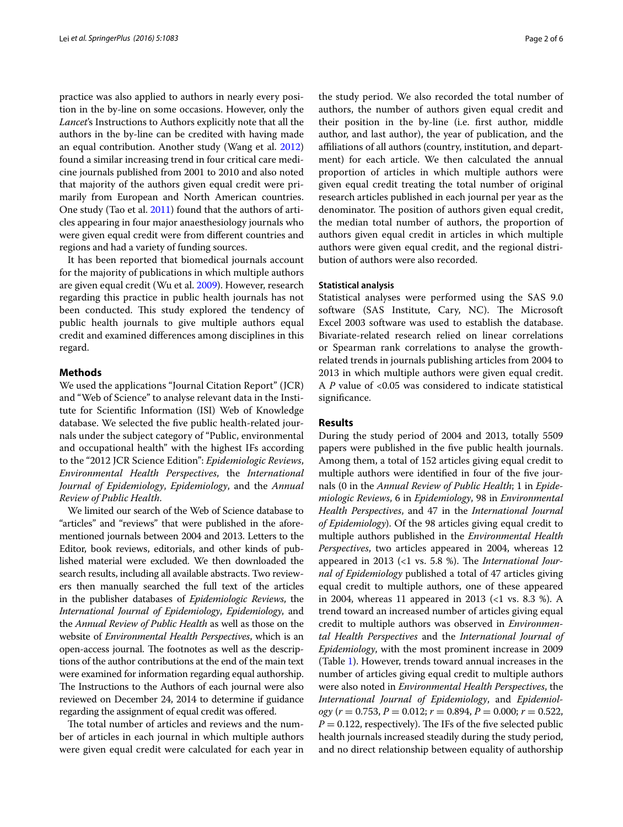practice was also applied to authors in nearly every position in the by-line on some occasions. However, only the *Lancet*'s Instructions to Authors explicitly note that all the authors in the by-line can be credited with having made an equal contribution. Another study (Wang et al. [2012](#page-5-3)) found a similar increasing trend in four critical care medicine journals published from 2001 to 2010 and also noted that majority of the authors given equal credit were primarily from European and North American countries. One study (Tao et al. [2011](#page-5-4)) found that the authors of articles appearing in four major anaesthesiology journals who were given equal credit were from different countries and regions and had a variety of funding sources.

It has been reported that biomedical journals account for the majority of publications in which multiple authors are given equal credit (Wu et al. [2009\)](#page-5-5). However, research regarding this practice in public health journals has not been conducted. This study explored the tendency of public health journals to give multiple authors equal credit and examined differences among disciplines in this regard.

#### **Methods**

We used the applications "Journal Citation Report" (JCR) and "Web of Science" to analyse relevant data in the Institute for Scientific Information (ISI) Web of Knowledge database. We selected the five public health-related journals under the subject category of "Public, environmental and occupational health" with the highest IFs according to the "2012 JCR Science Edition": *Epidemiologic Reviews*, *Environmental Health Perspectives*, the *International Journal of Epidemiology*, *Epidemiology*, and the *Annual Review of Public Health*.

We limited our search of the Web of Science database to "articles" and "reviews" that were published in the aforementioned journals between 2004 and 2013. Letters to the Editor, book reviews, editorials, and other kinds of published material were excluded. We then downloaded the search results, including all available abstracts. Two reviewers then manually searched the full text of the articles in the publisher databases of *Epidemiologic Reviews*, the *International Journal of Epidemiology*, *Epidemiology*, and the *Annual Review of Public Health* as well as those on the website of *Environmental Health Perspectives*, which is an open-access journal. The footnotes as well as the descriptions of the author contributions at the end of the main text were examined for information regarding equal authorship. The Instructions to the Authors of each journal were also reviewed on December 24, 2014 to determine if guidance regarding the assignment of equal credit was offered.

The total number of articles and reviews and the number of articles in each journal in which multiple authors were given equal credit were calculated for each year in the study period. We also recorded the total number of authors, the number of authors given equal credit and their position in the by-line (i.e. first author, middle author, and last author), the year of publication, and the affiliations of all authors (country, institution, and department) for each article. We then calculated the annual proportion of articles in which multiple authors were given equal credit treating the total number of original research articles published in each journal per year as the denominator. The position of authors given equal credit, the median total number of authors, the proportion of authors given equal credit in articles in which multiple authors were given equal credit, and the regional distribution of authors were also recorded.

#### **Statistical analysis**

Statistical analyses were performed using the SAS 9.0 software (SAS Institute, Cary, NC). The Microsoft Excel 2003 software was used to establish the database. Bivariate-related research relied on linear correlations or Spearman rank correlations to analyse the growthrelated trends in journals publishing articles from 2004 to 2013 in which multiple authors were given equal credit. A *P* value of <0.05 was considered to indicate statistical significance.

#### **Results**

During the study period of 2004 and 2013, totally 5509 papers were published in the five public health journals. Among them, a total of 152 articles giving equal credit to multiple authors were identified in four of the five journals (0 in the *Annual Review of Public Health*; 1 in *Epidemiologic Reviews*, 6 in *Epidemiology*, 98 in *Environmental Health Perspectives*, and 47 in the *International Journal of Epidemiology*). Of the 98 articles giving equal credit to multiple authors published in the *Environmental Health Perspectives*, two articles appeared in 2004, whereas 12 appeared in 2013 (<1 vs. 5.8 %). The *International Journal of Epidemiology* published a total of 47 articles giving equal credit to multiple authors, one of these appeared in 2004, whereas 11 appeared in 2013 (<1 vs. 8.3 %). A trend toward an increased number of articles giving equal credit to multiple authors was observed in *Environmental Health Perspectives* and the *International Journal of Epidemiology*, with the most prominent increase in 2009 (Table [1](#page-2-0)). However, trends toward annual increases in the number of articles giving equal credit to multiple authors were also noted in *Environmental Health Perspectives*, the *International Journal of Epidemiology*, and *Epidemiology* (*r* = 0.753, *P* = 0.012; *r* = 0.894, *P* = 0.000; *r* = 0.522,  $P = 0.122$ , respectively). The IFs of the five selected public health journals increased steadily during the study period, and no direct relationship between equality of authorship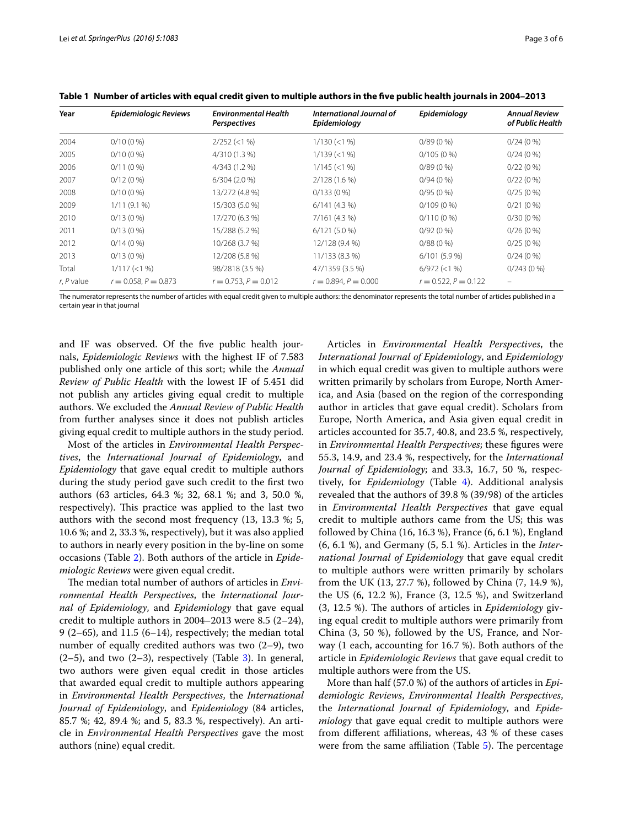| Year         | Epidemiologic Reviews     | <b>Environmental Health</b><br>Perspectives | International Journal of<br>Epidemiology | Epidemiology              | <b>Annual Review</b><br>of Public Health |
|--------------|---------------------------|---------------------------------------------|------------------------------------------|---------------------------|------------------------------------------|
| 2004         | $0/10(0\%)$               | $2/252 \le 1\%$                             | $1/130 (< 1\%$                           | $0/89(0\%)$               | 0/24(0%                                  |
| 2005         | $0/10(0\%)$               | 4/310 (1.3 %)                               | $1/139$ (<1 %)                           | $0/105(0\%)$              | $0/24(0\%)$                              |
| 2006         | $0/11(0\%)$               | 4/343 (1.2 %)                               | $1/145 (< 1\%$                           | $0/89(0\%)$               | 0/22(0%                                  |
| 2007         | $0/12(0\%)$               | $6/304(2.0\%)$                              | 2/128 (1.6 %)                            | 0/94(0%                   | 0/22(0%)                                 |
| 2008         | $0/10(0\%)$               | 13/272 (4.8 %)                              | $0/133(0\%)$                             | $0/95(0\%)$               | $0/25(0\%)$                              |
| 2009         | 1/11(9.1%                 | 15/303 (5.0 %)                              | 6/141(4.3%)                              | $0/109(0\%)$              | $0/21(0\%)$                              |
| 2010         | $0/13(0\%)$               | 17/270 (6.3 %)                              | 7/161 (4.3 %)                            | $0/110(0\%)$              | $0/30(0\%)$                              |
| 2011         | $0/13(0\%)$               | 15/288 (5.2 %)                              | $6/121(5.0\%)$                           | $0/92(0\%)$               | $0/26(0\%)$                              |
| 2012         | 0/14(0%                   | 10/268 (3.7 %)                              | 12/128 (9.4 %)                           | 0/88(0%                   | $0/25(0\%)$                              |
| 2013         | $0/13(0\%)$               | 12/208 (5.8 %)                              | 11/133 (8.3 %)                           | $6/101(5.9\%)$            | $0/24(0\%)$                              |
| Total        | 1/117 (< 1 %)             | 98/2818 (3.5 %)                             | 47/1359 (3.5 %)                          | $6/972$ (<1 %)            | $0/243(0\%)$                             |
| $r, P$ value | $r = 0.058$ , $P = 0.873$ | $r = 0.753$ , $P = 0.012$                   | $r = 0.894$ , $P = 0.000$                | $r = 0.522$ , $P = 0.122$ |                                          |

<span id="page-2-0"></span>**Table 1 Number of articles with equal credit given to multiple authors in the five public health journals in 2004–2013**

The numerator represents the number of articles with equal credit given to multiple authors: the denominator represents the total number of articles published in a certain year in that journal

and IF was observed. Of the five public health journals, *Epidemiologic Reviews* with the highest IF of 7.583 published only one article of this sort; while the *Annual Review of Public Health* with the lowest IF of 5.451 did not publish any articles giving equal credit to multiple authors. We excluded the *Annual Review of Public Health* from further analyses since it does not publish articles giving equal credit to multiple authors in the study period.

Most of the articles in *Environmental Health Perspectives*, the *International Journal of Epidemiology*, and *Epidemiology* that gave equal credit to multiple authors during the study period gave such credit to the first two authors (63 articles, 64.3 %; 32, 68.1 %; and 3, 50.0 %, respectively). This practice was applied to the last two authors with the second most frequency (13, 13.3 %; 5, 10.6 %; and 2, 33.3 %, respectively), but it was also applied to authors in nearly every position in the by-line on some occasions (Table [2\)](#page-3-0). Both authors of the article in *Epidemiologic Reviews* were given equal credit.

The median total number of authors of articles in *Environmental Health Perspectives*, the *International Journal of Epidemiology*, and *Epidemiology* that gave equal credit to multiple authors in 2004–2013 were 8.5 (2–24), 9 (2–65), and 11.5 (6–14), respectively; the median total number of equally credited authors was two (2–9), two  $(2-5)$ , and two  $(2-3)$  $(2-3)$ , respectively (Table 3). In general, two authors were given equal credit in those articles that awarded equal credit to multiple authors appearing in *Environmental Health Perspectives*, the *International Journal of Epidemiology*, and *Epidemiology* (84 articles, 85.7 %; 42, 89.4 %; and 5, 83.3 %, respectively). An article in *Environmental Health Perspectives* gave the most authors (nine) equal credit.

Articles in *Environmental Health Perspectives*, the *International Journal of Epidemiology*, and *Epidemiology* in which equal credit was given to multiple authors were written primarily by scholars from Europe, North America, and Asia (based on the region of the corresponding author in articles that gave equal credit). Scholars from Europe, North America, and Asia given equal credit in articles accounted for 35.7, 40.8, and 23.5 %, respectively, in *Environmental Health Perspectives*; these figures were 55.3, 14.9, and 23.4 %, respectively, for the *International Journal of Epidemiology*; and 33.3, 16.7, 50 %, respectively, for *Epidemiology* (Table [4\)](#page-3-2). Additional analysis revealed that the authors of 39.8 % (39/98) of the articles in *Environmental Health Perspectives* that gave equal credit to multiple authors came from the US; this was followed by China (16, 16.3 %), France (6, 6.1 %), England (6, 6.1 %), and Germany (5, 5.1 %). Articles in the *International Journal of Epidemiology* that gave equal credit to multiple authors were written primarily by scholars from the UK (13, 27.7 %), followed by China (7, 14.9 %), the US (6, 12.2 %), France (3, 12.5 %), and Switzerland (3, 12.5 %). The authors of articles in *Epidemiology* giving equal credit to multiple authors were primarily from China (3, 50 %), followed by the US, France, and Norway (1 each, accounting for 16.7 %). Both authors of the article in *Epidemiologic Reviews* that gave equal credit to multiple authors were from the US.

More than half (57.0 %) of the authors of articles in *Epidemiologic Reviews*, *Environmental Health Perspectives*, the *International Journal of Epidemiology*, and *Epidemiology* that gave equal credit to multiple authors were from different affiliations, whereas, 43 % of these cases were from the same affiliation (Table [5\)](#page-3-3). The percentage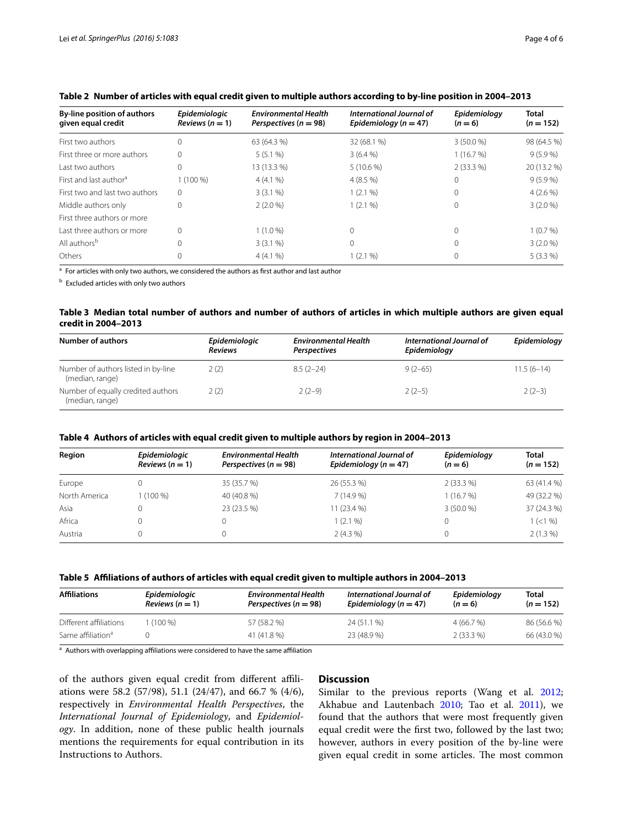| By-line position of authors<br>given equal credit | Epidemiologic<br>Reviews $(n = 1)$ | <b>Environmental Health</b><br>Perspectives ( $n = 98$ ) | International Journal of<br>Epidemiology ( $n = 47$ ) | Epidemiology<br>$(n=6)$ | <b>Total</b><br>$(n = 152)$ |
|---------------------------------------------------|------------------------------------|----------------------------------------------------------|-------------------------------------------------------|-------------------------|-----------------------------|
| First two authors                                 | 0                                  | 63 (64.3 %)                                              | 32 (68.1 %)                                           | $3(50.0\%)$             | 98 (64.5 %)                 |
| First three or more authors                       | 0                                  | 5(5.1%                                                   | 3(6.4%                                                | 1(16.7%)                | $9(5.9\%)$                  |
| Last two authors                                  | 0                                  | 13 (13.3 %)                                              | $5(10.6\%)$                                           | $2(33.3\%)$             | 20 (13.2 %)                 |
| First and last author <sup>a</sup>                | $1(100\%)$                         | 4(4.1%                                                   | $4(8.5\%)$                                            | 0                       | $9(5.9\%)$                  |
| First two and last two authors                    | 0                                  | 3(3.1%                                                   | 1(2.1%                                                |                         | $4(2.6\%)$                  |
| Middle authors only                               | 0                                  | $2(2.0\%)$                                               | $1(2.1\%)$                                            | 0                       | $3(2.0\%)$                  |
| First three authors or more                       |                                    |                                                          |                                                       |                         |                             |
| Last three authors or more                        | 0                                  | 1 (1.0 %)                                                | $\Omega$                                              |                         | 1(0.7%)                     |
| All authors <sup>b</sup>                          | 0                                  | $3(3.1\%)$                                               | $\Omega$                                              |                         | $3(2.0\%)$                  |
| Others                                            |                                    | 4(4.1%                                                   | 1(2.1%                                                |                         | $5(3.3\%)$                  |

# <span id="page-3-0"></span>**Table 2 Number of articles with equal credit given to multiple authors according to by-line position in 2004–2013**

 $\overline{a}$  For articles with only two authors, we considered the authors as first author and last author

**b** Excluded articles with only two authors

### <span id="page-3-1"></span>**Table 3 Median total number of authors and number of authors of articles in which multiple authors are given equal credit in 2004–2013**

| Number of authors                                      | Epidemiologic<br><b>Reviews</b> | <b>Environmental Health</b><br>Perspectives | International Journal of<br>Epidemiology | Epidemiology |
|--------------------------------------------------------|---------------------------------|---------------------------------------------|------------------------------------------|--------------|
| Number of authors listed in by-line<br>(median, range) | 2 (2)                           | $8.5(2-24)$                                 | $9(2-65)$                                | $11.5(6-14)$ |
| Number of equally credited authors<br>(median, range)  | 2(2)                            | $2(2-9)$                                    | $2(2-5)$                                 | $2(2-3)$     |

#### <span id="page-3-2"></span>**Table 4 Authors of articles with equal credit given to multiple authors by region in 2004–2013**

| Region        | Epidemiologic<br>Reviews $(n = 1)$ | <b>Environmental Health</b><br>Perspectives ( $n = 98$ ) | International Journal of<br>Epidemiology ( $n = 47$ ) | Epidemiology<br>$(n=6)$ | <b>Total</b><br>$(n = 152)$ |
|---------------|------------------------------------|----------------------------------------------------------|-------------------------------------------------------|-------------------------|-----------------------------|
| Europe        |                                    | 35 (35.7 %)                                              | 26 (55.3 %)                                           | $2(33.3\%)$             | 63 (41.4 %)                 |
| North America | 1 (100 %)                          | 40 (40.8 %)                                              | $7(14.9\%)$                                           | 1(16.7%)                | 49 (32.2 %)                 |
| Asia          |                                    | 23 (23.5 %)                                              | $11(23.4\%)$                                          | $3(50.0\%)$             | 37 (24.3 %)                 |
| Africa        |                                    | 0                                                        | 1 (2.1 %)                                             |                         | $1 (< 1\%$                  |
| Austria       |                                    | 0                                                        | $2(4.3\%)$                                            |                         | $2(1.3\%)$                  |

#### <span id="page-3-3"></span>**Table 5 Affiliations of authors of articles with equal credit given to multiple authors in 2004–2013**

| <b>Affiliations</b>           | Epidemiologic<br>Reviews $(n=1)$ | <b>Environmental Health</b><br>Perspectives ( $n = 98$ ) | International Journal of<br>Epidemiology ( $n = 47$ ) | Epidemiology<br>$(n=6)$ | Total<br>$(n = 152)$ |
|-------------------------------|----------------------------------|----------------------------------------------------------|-------------------------------------------------------|-------------------------|----------------------|
| Different affiliations        | $(100\%)$                        | 57 (58.2 %)                                              | 24 (51.1 %)                                           | 4(66.7%)                | 86 (56.6 %)          |
| Same affiliation <sup>a</sup> |                                  | 41 (41.8 %)                                              | 23 (48.9 %)                                           | $2(33.3\%)$             | 66 (43.0 %)          |

<sup>a</sup> Authors with overlapping affiliations were considered to have the same affiliation

of the authors given equal credit from different affiliations were 58.2 (57/98), 51.1 (24/47), and 66.7 % (4/6), respectively in *Environmental Health Perspectives*, the *International Journal of Epidemiology*, and *Epidemiology*. In addition, none of these public health journals mentions the requirements for equal contribution in its Instructions to Authors.

# **Discussion**

Similar to the previous reports (Wang et al. [2012](#page-5-3); Akhabue and Lautenbach [2010](#page-5-2); Tao et al. [2011](#page-5-4)), we found that the authors that were most frequently given equal credit were the first two, followed by the last two; however, authors in every position of the by-line were given equal credit in some articles. The most common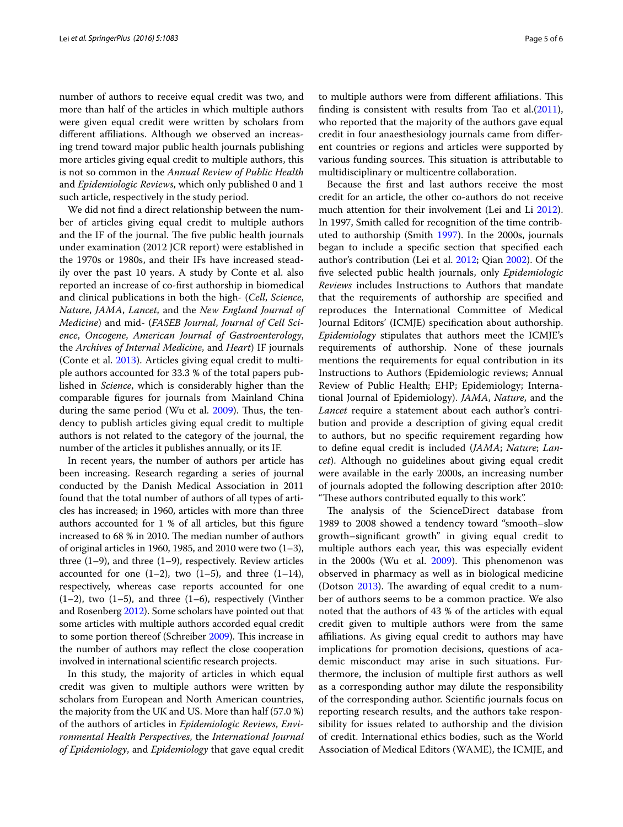number of authors to receive equal credit was two, and more than half of the articles in which multiple authors were given equal credit were written by scholars from different affiliations. Although we observed an increasing trend toward major public health journals publishing more articles giving equal credit to multiple authors, this is not so common in the *Annual Review of Public Health* and *Epidemiologic Reviews*, which only published 0 and 1 such article, respectively in the study period.

We did not find a direct relationship between the number of articles giving equal credit to multiple authors and the IF of the journal. The five public health journals under examination (2012 JCR report) were established in the 1970s or 1980s, and their IFs have increased steadily over the past 10 years. A study by Conte et al. also reported an increase of co-first authorship in biomedical and clinical publications in both the high- (*Cell*, *Science*, *Nature*, *JAMA*, *Lancet*, and the *New England Journal of Medicine*) and mid- (*FASEB Journal*, *Journal of Cell Science*, *Oncogene*, *American Journal of Gastroenterology*, the *Archives of Internal Medicine*, and *Heart*) IF journals (Conte et al. [2013](#page-5-6)). Articles giving equal credit to multiple authors accounted for 33.3 % of the total papers published in *Science*, which is considerably higher than the comparable figures for journals from Mainland China during the same period (Wu et al. [2009\)](#page-5-5). Thus, the tendency to publish articles giving equal credit to multiple authors is not related to the category of the journal, the number of the articles it publishes annually, or its IF.

In recent years, the number of authors per article has been increasing. Research regarding a series of journal conducted by the Danish Medical Association in 2011 found that the total number of authors of all types of articles has increased; in 1960, articles with more than three authors accounted for 1 % of all articles, but this figure increased to 68 % in 2010. The median number of authors of original articles in 1960, 1985, and 2010 were two  $(1-3)$ , three  $(1-9)$ , and three  $(1-9)$ , respectively. Review articles accounted for one  $(1-2)$ , two  $(1-5)$ , and three  $(1-14)$ , respectively, whereas case reports accounted for one  $(1-2)$ , two  $(1-5)$ , and three  $(1-6)$ , respectively (Vinther and Rosenberg [2012\)](#page-5-7). Some scholars have pointed out that some articles with multiple authors accorded equal credit to some portion thereof (Schreiber [2009](#page-5-8)). This increase in the number of authors may reflect the close cooperation involved in international scientific research projects.

In this study, the majority of articles in which equal credit was given to multiple authors were written by scholars from European and North American countries, the majority from the UK and US. More than half (57.0 %) of the authors of articles in *Epidemiologic Reviews*, *Environmental Health Perspectives*, the *International Journal of Epidemiology*, and *Epidemiology* that gave equal credit to multiple authors were from different affiliations. This finding is consistent with results from Tao et al. $(2011)$  $(2011)$ , who reported that the majority of the authors gave equal credit in four anaesthesiology journals came from different countries or regions and articles were supported by various funding sources. This situation is attributable to multidisciplinary or multicentre collaboration.

Because the first and last authors receive the most credit for an article, the other co-authors do not receive much attention for their involvement (Lei and Li [2012](#page-5-9)). In 1997, Smith called for recognition of the time contributed to authorship (Smith [1997\)](#page-5-10). In the 2000s, journals began to include a specific section that specified each author's contribution (Lei et al. [2012;](#page-5-11) Qian [2002\)](#page-5-12). Of the five selected public health journals, only *Epidemiologic Reviews* includes Instructions to Authors that mandate that the requirements of authorship are specified and reproduces the International Committee of Medical Journal Editors' (ICMJE) specification about authorship. *Epidemiology* stipulates that authors meet the ICMJE's requirements of authorship. None of these journals mentions the requirements for equal contribution in its Instructions to Authors (Epidemiologic reviews; Annual Review of Public Health; EHP; Epidemiology; International Journal of Epidemiology). *JAMA*, *Nature*, and the *Lancet* require a statement about each author's contribution and provide a description of giving equal credit to authors, but no specific requirement regarding how to define equal credit is included (*JAMA*; *Nature*; *Lancet*). Although no guidelines about giving equal credit were available in the early 2000s, an increasing number of journals adopted the following description after 2010: "These authors contributed equally to this work".

The analysis of the ScienceDirect database from 1989 to 2008 showed a tendency toward "smooth–slow growth–significant growth" in giving equal credit to multiple authors each year, this was especially evident in the 2000s (Wu et al. [2009\)](#page-5-5). This phenomenon was observed in pharmacy as well as in biological medicine (Dotson [2013\)](#page-5-13). The awarding of equal credit to a number of authors seems to be a common practice. We also noted that the authors of 43 % of the articles with equal credit given to multiple authors were from the same affiliations. As giving equal credit to authors may have implications for promotion decisions, questions of academic misconduct may arise in such situations. Furthermore, the inclusion of multiple first authors as well as a corresponding author may dilute the responsibility of the corresponding author. Scientific journals focus on reporting research results, and the authors take responsibility for issues related to authorship and the division of credit. International ethics bodies, such as the World Association of Medical Editors (WAME), the ICMJE, and